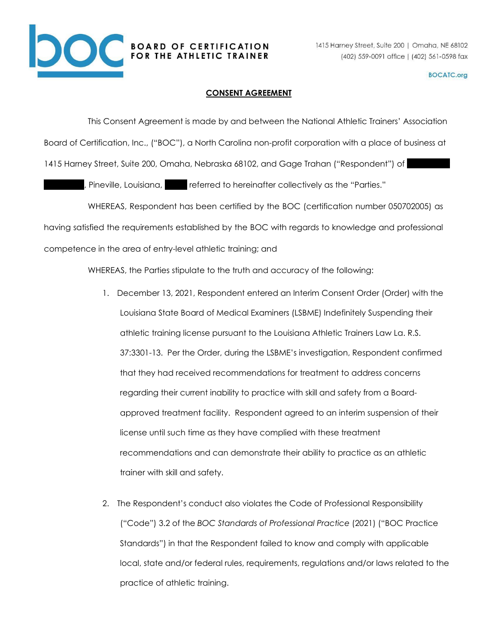

## **BOCATC.org**

## **CONSENT AGREEMENT**

This Consent Agreement is made by and between the National Athletic Trainers' Association Board of Certification, Inc., ("BOC"), a North Carolina non-profit corporation with a place of business at 1415 Harney Street, Suite 200, Omaha, Nebraska 68102, and Gage Trahan ("Respondent") of

, Pineville, Louisiana, Theferred to hereinafter collectively as the "Parties."

WHEREAS, Respondent has been certified by the BOC (certification number 050702005) as having satisfied the requirements established by the BOC with regards to knowledge and professional competence in the area of entry-level athletic training; and

WHEREAS, the Parties stipulate to the truth and accuracy of the following:

- 1. December 13, 2021, Respondent entered an Interim Consent Order (Order) with the Louisiana State Board of Medical Examiners (LSBME) Indefinitely Suspending their athletic training license pursuant to the Louisiana Athletic Trainers Law La. R.S. 37:3301-13. Per the Order, during the LSBME's investigation, Respondent confirmed that they had received recommendations for treatment to address concerns regarding their current inability to practice with skill and safety from a Boardapproved treatment facility. Respondent agreed to an interim suspension of their license until such time as they have complied with these treatment recommendations and can demonstrate their ability to practice as an athletic trainer with skill and safety.
- 2. The Respondent's conduct also violates the Code of Professional Responsibility ("Code") 3.2 of the *BOC Standards of Professional Practice* (2021) ("BOC Practice Standards") in that the Respondent failed to know and comply with applicable local, state and/or federal rules, requirements, regulations and/or laws related to the practice of athletic training.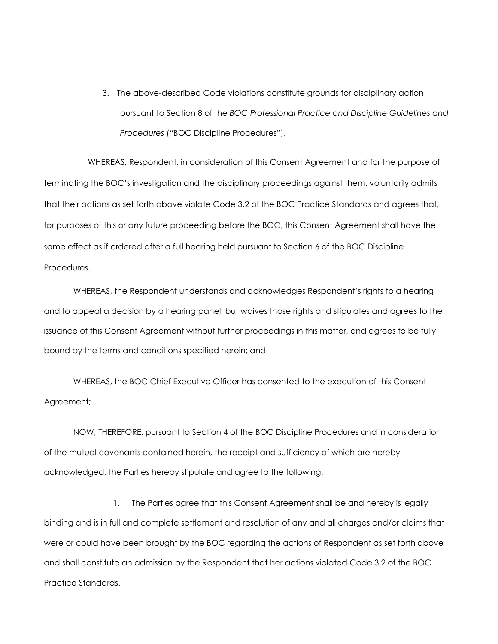3. The above-described Code violations constitute grounds for disciplinary action pursuant to Section 8 of the *BOC Professional Practice and Discipline Guidelines and Procedures* ("BOC Discipline Procedures").

WHEREAS, Respondent, in consideration of this Consent Agreement and for the purpose of terminating the BOC's investigation and the disciplinary proceedings against them, voluntarily admits that their actions as set forth above violate Code 3.2 of the BOC Practice Standards and agrees that, for purposes of this or any future proceeding before the BOC, this Consent Agreement shall have the same effect as if ordered after a full hearing held pursuant to Section 6 of the BOC Discipline Procedures.

WHEREAS, the Respondent understands and acknowledges Respondent's rights to a hearing and to appeal a decision by a hearing panel, but waives those rights and stipulates and agrees to the issuance of this Consent Agreement without further proceedings in this matter, and agrees to be fully bound by the terms and conditions specified herein; and

WHEREAS, the BOC Chief Executive Officer has consented to the execution of this Consent Agreement;

NOW, THEREFORE, pursuant to Section 4 of the BOC Discipline Procedures and in consideration of the mutual covenants contained herein, the receipt and sufficiency of which are hereby acknowledged, the Parties hereby stipulate and agree to the following:

1. The Parties agree that this Consent Agreement shall be and hereby is legally binding and is in full and complete settlement and resolution of any and all charges and/or claims that were or could have been brought by the BOC regarding the actions of Respondent as set forth above and shall constitute an admission by the Respondent that her actions violated Code 3.2 of the BOC Practice Standards.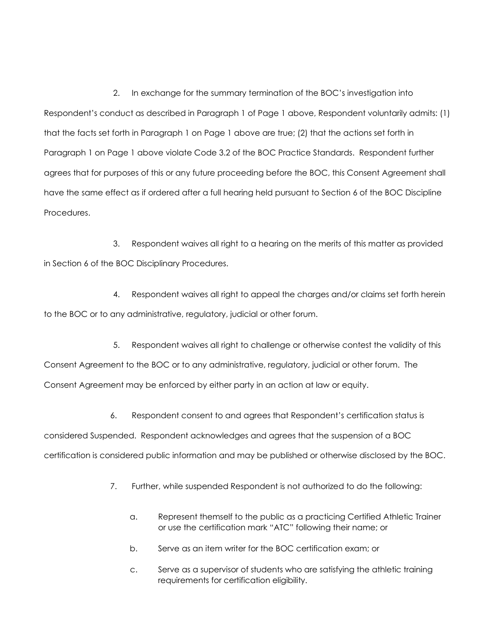2. In exchange for the summary termination of the BOC's investigation into Respondent's conduct as described in Paragraph 1 of Page 1 above, Respondent voluntarily admits: (1) that the facts set forth in Paragraph 1 on Page 1 above are true; (2) that the actions set forth in Paragraph 1 on Page 1 above violate Code 3.2 of the BOC Practice Standards. Respondent further agrees that for purposes of this or any future proceeding before the BOC, this Consent Agreement shall have the same effect as if ordered after a full hearing held pursuant to Section 6 of the BOC Discipline Procedures.

3. Respondent waives all right to a hearing on the merits of this matter as provided in Section 6 of the BOC Disciplinary Procedures.

4. Respondent waives all right to appeal the charges and/or claims set forth herein to the BOC or to any administrative, regulatory, judicial or other forum.

5. Respondent waives all right to challenge or otherwise contest the validity of this Consent Agreement to the BOC or to any administrative, regulatory, judicial or other forum. The Consent Agreement may be enforced by either party in an action at law or equity.

6. Respondent consent to and agrees that Respondent's certification status is considered Suspended. Respondent acknowledges and agrees that the suspension of a BOC certification is considered public information and may be published or otherwise disclosed by the BOC.

- 7. Further, while suspended Respondent is not authorized to do the following:
	- a. Represent themself to the public as a practicing Certified Athletic Trainer or use the certification mark "ATC" following their name; or
	- b. Serve as an item writer for the BOC certification exam; or
	- c. Serve as a supervisor of students who are satisfying the athletic training requirements for certification eligibility.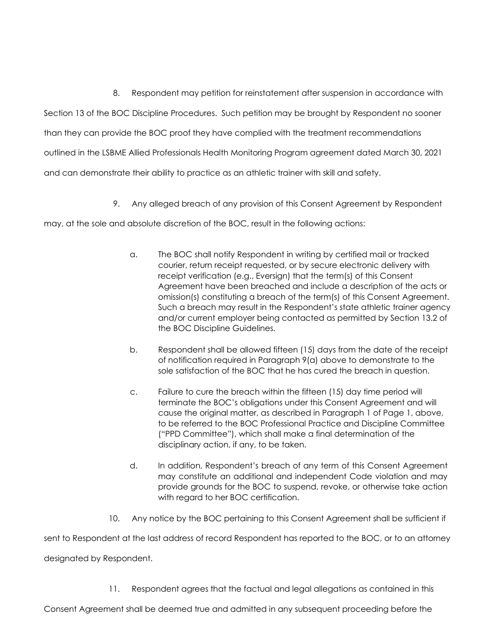8. Respondent may petition for reinstatement after suspension in accordance with Section 13 of the BOC Discipline Procedures. Such petition may be brought by Respondent no sooner than they can provide the BOC proof they have complied with the treatment recommendations outlined in the LSBME Allied Professionals Health Monitoring Program agreement dated March 30, 2021 and can demonstrate their ability to practice as an athletic trainer with skill and safety.

9. Any alleged breach of any provision of this Consent Agreement by Respondent

may, at the sole and absolute discretion of the BOC, result in the following actions:

- a. The BOC shall notify Respondent in writing by certified mail or tracked courier, return receipt requested, or by secure electronic delivery with receipt verification (e.g., Eversign) that the term(s) of this Consent Agreement have been breached and include a description of the acts or omission(s) constituting a breach of the term(s) of this Consent Agreement. Such a breach may result in the Respondent's state athletic trainer agency and/or current employer being contacted as permitted by Section 13.2 of the BOC Discipline Guidelines.
- b. Respondent shall be allowed fifteen (15) days from the date of the receipt of notification required in Paragraph 9(a) above to demonstrate to the sole satisfaction of the BOC that he has cured the breach in question.
- c. Failure to cure the breach within the fifteen (15) day time period will terminate the BOC's obligations under this Consent Agreement and will cause the original matter, as described in Paragraph 1 of Page 1, above, to be referred to the BOC Professional Practice and Discipline Committee ("PPD Committee"), which shall make a final determination of the disciplinary action, if any, to be taken.
- d. In addition, Respondent's breach of any term of this Consent Agreement may constitute an additional and independent Code violation and may provide grounds for the BOC to suspend, revoke, or otherwise take action with regard to her BOC certification.
- 10. Any notice by the BOC pertaining to this Consent Agreement shall be sufficient if

sent to Respondent at the last address of record Respondent has reported to the BOC, or to an attorney

designated by Respondent.

11. Respondent agrees that the factual and legal allegations as contained in this

Consent Agreement shall be deemed true and admitted in any subsequent proceeding before the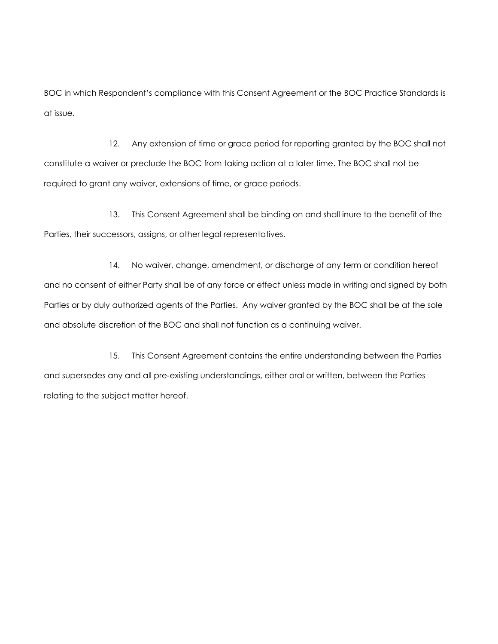BOC in which Respondent's compliance with this Consent Agreement or the BOC Practice Standards is at issue.

12. Any extension of time or grace period for reporting granted by the BOC shall not constitute a waiver or preclude the BOC from taking action at a later time. The BOC shall not be required to grant any waiver, extensions of time, or grace periods.

13. This Consent Agreement shall be binding on and shall inure to the benefit of the Parties, their successors, assigns, or other legal representatives.

14. No waiver, change, amendment, or discharge of any term or condition hereof and no consent of either Party shall be of any force or effect unless made in writing and signed by both Parties or by duly authorized agents of the Parties. Any waiver granted by the BOC shall be at the sole and absolute discretion of the BOC and shall not function as a continuing waiver.

15. This Consent Agreement contains the entire understanding between the Parties and supersedes any and all pre-existing understandings, either oral or written, between the Parties relating to the subject matter hereof.